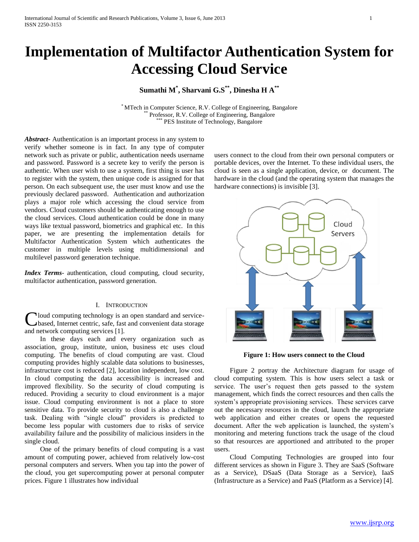# **Implementation of Multifactor Authentication System for Accessing Cloud Service**

# **Sumathi M\* , Sharvani G.S\*\* , Dinesha H A\*\***

\* MTech in Computer Science, R.V. College of Engineering, Bangalore Professor, R.V. College of Engineering, Bangalore PES Institute of Technology, Bangalore

*Abstract***-** Authentication is an important process in any system to verify whether someone is in fact. In any type of computer network such as private or public, authentication needs username and password. Password is a secrete key to verify the person is authentic. When user wish to use a system, first thing is user has to register with the system, then unique code is assigned for that person. On each subsequent use, the user must know and use the previously declared password. Authentication and authorization plays a major role which accessing the cloud service from vendors. Cloud customers should be authenticating enough to use the cloud services. Cloud authentication could be done in many ways like textual password, biometrics and graphical etc. In this paper, we are presenting the implementation details for Multifactor Authentication System which authenticates the customer in multiple levels using multidimensional and multilevel password generation technique.

*Index Terms*- authentication, cloud computing, cloud security, multifactor authentication, password generation.

#### I. INTRODUCTION

loud computing technology is an open standard and servicebased, Internet centric, safe, fast and convenient data storage Cloud computing technology is and hetwork computing services [1].

 In these days each and every organization such as association, group, institute, union, business etc uses cloud computing. The benefits of cloud computing are vast. Cloud computing provides highly scalable data solutions to businesses, infrastructure cost is reduced [2], location independent, low cost. In cloud computing the data accessibility is increased and improved flexibility. So the security of cloud computing is reduced. Providing a security to cloud environment is a major issue. Cloud computing environment is not a place to store sensitive data. To provide security to cloud is also a challenge task. Dealing with "single cloud" providers is predicted to become less popular with customers due to risks of service availability failure and the possibility of malicious insiders in the single cloud.

 One of the primary benefits of cloud computing is a vast amount of computing power, achieved from relatively low-cost personal computers and servers. When you tap into the power of the cloud, you get supercomputing power at personal computer prices. Figure 1 illustrates how individual

users connect to the cloud from their own personal computers or portable devices, over the Internet. To these individual users, the cloud is seen as a single application, device, or document. The hardware in the cloud (and the operating system that manages the hardware connections) is invisible [3].



**Figure 1: How users connect to the Cloud**

 Figure 2 portray the Architecture diagram for usage of cloud computing system. This is how users select a task or service. The user's request then gets passed to the system management, which finds the correct resources and then calls the system's appropriate provisioning services. These services carve out the necessary resources in the cloud, launch the appropriate web application and either creates or opens the requested document. After the web application is launched, the system's monitoring and metering functions track the usage of the cloud so that resources are apportioned and attributed to the proper users.

 Cloud Computing Technologies are grouped into four different services as shown in Figure 3. They are SaaS (Software as a Service), DSaaS (Data Storage as a Service), IaaS (Infrastructure as a Service) and PaaS (Platform as a Service) [4].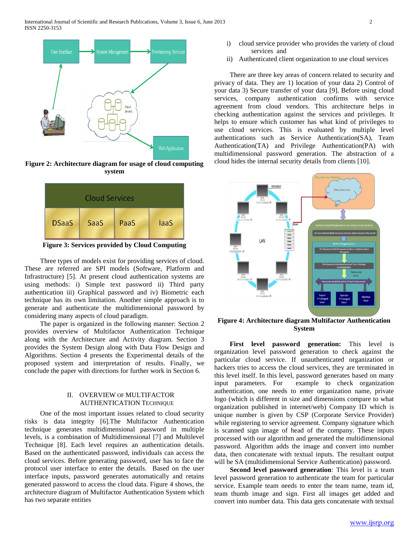

**Figure 2: Architecture diagram for usage of cloud computing system**



**Figure 3: Services provided by Cloud Computing**

 Three types of models exist for providing services of cloud. These are referred are SPI models (Software, Platform and Infrastructure) [5]. At present cloud authentication systems are using methods: i) Simple text password ii) Third party authentication iii) Graphical password and iv) Biometric each technique has its own limitation. Another simple approach is to generate and authenticate the multidimensional password by considering many aspects of cloud paradigm.

 The paper is organized in the following manner: Section 2 provides overview of Multifactor Authentication Technique along with the Architecture and Activity diagram. Section 3 provides the System Design along with Data Flow Design and Algorithms. Section 4 presents the Experimental details of the proposed system and interpretation of results. Finally, we conclude the paper with directions for further work in Section 6.

### II. OVERVIEW OF MULTIFACTOR AUTHENTICATION TECHNIQUE

 One of the most important issues related to cloud security risks is data integrity [6].The Multifactor Authentication technique generates multidimensional password in multiple levels, is a combination of Multidimensional [7] and Multilevel Technique [8]. Each level requires an authentication details. Based on the authenticated password, individuals can access the cloud services. Before generating password, user has to face the protocol user interface to enter the details. Based on the user interface inputs, password generates automatically and retains generated password to access the cloud data. Figure 4 shows, the architecture diagram of Multifactor Authentication System which has two separate entities

ii) Authenticated client organization to use cloud services

 There are three key areas of concern related to security and privacy of data. They are 1) location of your data 2) Control of your data 3) Secure transfer of your data [9]. Before using cloud services, company authentication confirms with service agreement from cloud vendors. This architecture helps in checking authentication against the services and privileges. It helps to ensure which customer has what kind of privileges to use cloud services. This is evaluated by multiple level authentications such as Service Authentication(SA), Team Authentication(TA) and Privilege Authentication(PA) with multidimensional password generation. The abstraction of a cloud hides the internal security details from clients [10].



**Figure 4: Architecture diagram Multifactor Authentication System**

 **First level password generation:** This level is organization level password generation to check against the particular cloud service. If unauthenticated organization or hackers tries to access the cloud services, they are terminated in this level itself. In this level, password generates based on many input parameters. For example to check organization authentication, one needs to enter organization name, private logo (which is different in size and dimensions compare to what organization published in internet/web) Company ID which is unique number is given by CSP (Corporate Service Provider) while registering to service agreement. Company signature which is scanned sign image of head of the company. These inputs processed with our algorithm and generated the multidimensional password. Algorithm adds the image and convert into number data, then concatenate with textual inputs. The resultant output will be SA (multidimensional Service Authentication) password.

 **Second level password generation**: This level is a team level password generation to authenticate the team for particular service. Example team needs to enter the team name, team id, team thumb image and sign. First all images get added and convert into number data. This data gets concatenate with textual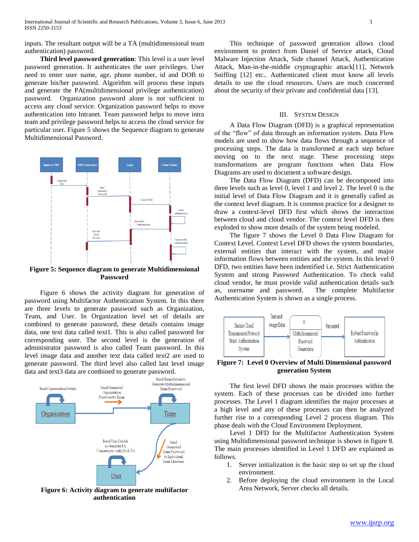inputs. The resultant output will be a TA (multidimensional team authentication) password.

 **Third level password generation**: This level is a user level password generation. It authenticates the user privileges. User need to enter user name, age, phone number, id and DOB to generate his/her password. Algorithm will process these inputs and generate the PA(multidimensional privilege authentication) password. Organization password alone is not sufficient to access any cloud service. Organization password helps to move authentication into Intranet. Team password helps to move intra team and privilege password helps to access the cloud service for particular user. Figure 5 shows the Sequence diagram to generate Multidimensional Password.



**Figure 5: Sequence diagram to generate Multidimensional Password**

 Figure 6 shows the activity diagram for generation of password using Multifactor Authentication System. In this there are three levels to generate password such as Organization, Team, and User. In Organization level set of details are combined to generate password, these details contains image data, one text data called text1. This is also called password for corresponding user. The second level is the generation of administrator password is also called Team password. In this level image data and another text data called text2 are used to generate password. The third level also called last level image data and text3 data are combined to generate password.



**Figure 6: Activity diagram to generate multifactor authentication**

 This technique of password generation allows cloud environment to protect from Daniel of Service attack, Cloud Malware Injection Attack, Side channel Attack, Authentication Attack, Man-in-the-middle cryptographic attack[11], Network Sniffing [12] etc.. Authenticated client must know all levels details to use the cloud resources. Users are much concerned about the security of their private and confidential data [13].

#### III. SYSTEM DESIGN

 A Data Flow Diagram (DFD) is a graphical representation of the "flow" of data through an information system. Data Flow models are used to show how data flows through a sequence of processing steps. The data is transformed at each step before moving on to the next stage. These processing steps transformations are program functions when Data Flow Diagrams are used to document a software design.

 The Data Flow Diagram (DFD) can be decomposed into three levels such as level 0, level 1 and level 2. The level 0 is the initial level of Data Flow Diagram and it is generally called as the context level diagram. It is common practice for a designer to draw a context-level DFD first which shows the interaction between cloud and cloud vendor. The context level DFD is then exploded to show more details of the system being modeled.

 The figure 7 shows the Level 0 Data Flow Diagram for Context Level. Context Level DFD shows the system boundaries, external entities that interact with the system, and major information flows between entities and the system. In this level 0 DFD, two entities have been indentified i.e. Strict Authentication System and strong Password Authentication. To check valid cloud vendor, he must provide valid authentication details such as, username and password. The complete Multifactor Authentication System is shown as a single process.



**Figure 7: Level 0 Overview of Multi Dimensional password generation System**

 The first level DFD shows the main processes within the system. Each of these processes can be divided into further processes. The Level 1 diagram identifies the major processes at a high level and any of these processes can then be analyzed further rise to a corresponding Level 2 process diagram. This phase deals with the Cloud Environment Deployment.

 Level 1 DFD for the Multifactor Authentication System using Multidimensional password technique is shown in figure 8. The main processes identified in Level 1 DFD are explained as follows.

- 1. Server initialization is the basic step to set up the cloud environment.
- 2. Before deploying the cloud environment in the Local Area Network, Server checks all details.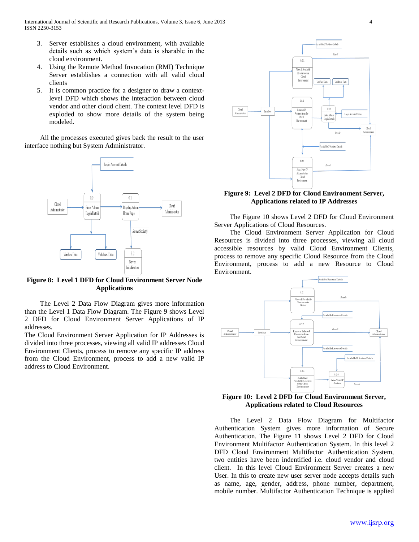- 3. Server establishes a cloud environment, with available details such as which system's data is sharable in the cloud environment.
- 4. Using the Remote Method Invocation (RMI) Technique Server establishes a connection with all valid cloud clients
- 5. It is common practice for a designer to draw a contextlevel DFD which shows the interaction between cloud vendor and other cloud client. The context level DFD is exploded to show more details of the system being modeled.

 All the processes executed gives back the result to the user interface nothing but System Administrator.



**Figure 8: Level 1 DFD for Cloud Environment Server Node Applications**

 The Level 2 Data Flow Diagram gives more information than the Level 1 Data Flow Diagram. The Figure 9 shows Level 2 DFD for Cloud Environment Server Applications of IP addresses.

The Cloud Environment Server Application for IP Addresses is divided into three processes, viewing all valid IP addresses Cloud Environment Clients, process to remove any specific IP address from the Cloud Environment, process to add a new valid IP address to Cloud Environment.



## **Figure 9: Level 2 DFD for Cloud Environment Server, Applications related to IP Addresses**

 The Figure 10 shows Level 2 DFD for Cloud Environment Server Applications of Cloud Resources.

 The Cloud Environment Server Application for Cloud Resources is divided into three processes, viewing all cloud accessible resources by valid Cloud Environment Clients, process to remove any specific Cloud Resource from the Cloud Environment, process to add a new Resource to Cloud Environment.



**Figure 10: Level 2 DFD for Cloud Environment Server, Applications related to Cloud Resources**

 The Level 2 Data Flow Diagram for Multifactor Authentication System gives more information of Secure Authentication. The Figure 11 shows Level 2 DFD for Cloud Environment Multifactor Authentication System. In this level 2 DFD Cloud Environment Multifactor Authentication System, two entities have been indentified i.e. cloud vendor and cloud client. In this level Cloud Environment Server creates a new User. In this to create new user server node accepts details such as name, age, gender, address, phone number, department, mobile number. Multifactor Authentication Technique is applied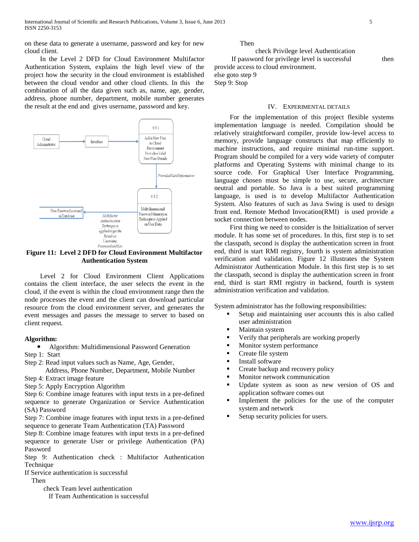on these data to generate a username, password and key for new cloud client.

 In the Level 2 DFD for Cloud Environment Multifactor Authentication System, explains the high level view of the project how the security in the cloud environment is established between the cloud vendor and other cloud clients. In this the combination of all the data given such as, name, age, gender, address, phone number, department, mobile number generates the result at the end and gives username, password and key.



**Figure 11: Level 2 DFD for Cloud Environment Multifactor Authentication System**

 Level 2 for Cloud Environment Client Applications contains the client interface, the user selects the event in the cloud, if the event is within the cloud environment range then the node processes the event and the client can download particular resource from the cloud environment server, and generates the event messages and passes the message to server to based on client request.

#### **Algorithm:**

Algorithm: Multidimensional Password Generation

Step 1: Start

Step 2: Read input values such as Name, Age, Gender,

Address, Phone Number, Department, Mobile Number

Step 4: Extract image feature

Step 5: Apply Encryption Algorithm

Step 6: Combine image features with input texts in a pre-defined sequence to generate Organization or Service Authentication (SA) Password

Step 7: Combine image features with input texts in a pre-defined sequence to generate Team Authentication (TA) Password

Step 8: Combine image features with input texts in a pre-defined sequence to generate User or privilege Authentication (PA) Password

Step 9: Authentication check : Multifactor Authentication Technique

If Service authentication is successful

Then

check Team level authentication

If Team Authentication is successful

Then

 check Privilege level Authentication If password for privilege level is successful then provide access to cloud environment. else goto step 9 Step 9: Stop

### IV. EXPERIMENTAL DETAILS

 For the implementation of this project flexible systems implementation language is needed. Compilation should be relatively straightforward compiler, provide low-level access to memory, provide language constructs that map efficiently to machine instructions, and require minimal run-time support. Program should be compiled for a very wide variety of computer platforms and Operating Systems with minimal change to its source code. For Graphical User Interface Programming, language chosen must be simple to use, secure, architecture neutral and portable. So Java is a best suited programming language, is used is to develop Multifactor Authentication System. Also features of such as Java Swing is used to design front end. Remote Method Invocation(RMI) is used provide a socket connection between nodes.

 First thing we need to consider is the Initialization of server module. It has some set of procedures. In this, first step is to set the classpath, second is display the authentication screen in front end, third is start RMI registry, fourth is system administration verification and validation. Figure 12 illustrates the System Administrator Authentication Module. In this first step is to set the classpath, second is display the authentication screen in front end, third is start RMI registry in backend, fourth is system administration verification and validation.

System administrator has the following responsibilities:

- Setup and maintaining user accounts this is also called user administration
- Maintain system
- Verify that peripherals are working properly
- Monitor system performance
- Create file system
- Install software
- Create backup and recovery policy
- Monitor network communication
- Update system as soon as new version of OS and application software comes out
- Implement the policies for the use of the computer system and network
- Setup security policies for users.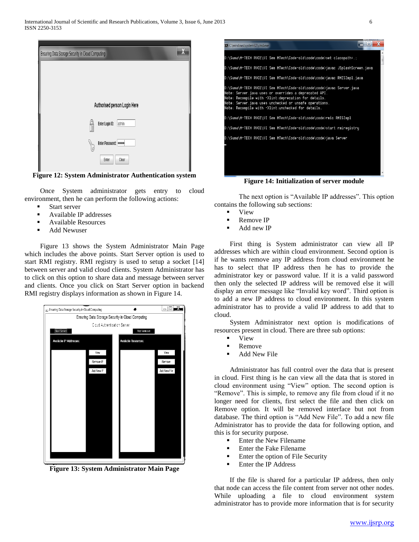

**Figure 12: System Administrator Authentication system**

 Once System administrator gets entry to cloud environment, then he can perform the following actions:

- Start server
- Available IP addresses
- Available Resources
- Add Newuser

 Figure 13 shows the System Administrator Main Page which includes the above points. Start Server option is used to start RMI registry. RMI registry is used to setup a socket [14] between server and valid cloud clients. System Administrator has to click on this option to share data and message between server and clients. Once you click on Start Server option in backend RMI registry displays information as shown in Figure 14.



**Figure 13: System Administrator Main Page**



**Figure 14: Initialization of server module**

The next option is "Available IP addresses". This option contains the following sub sections:

- **v** View
- Remove IP
- Add new IP

 First thing is System administrator can view all IP addresses which are within cloud environment. Second option is if he wants remove any IP address from cloud environment he has to select that IP address then he has to provide the administrator key or password value. If it is a valid password then only the selected IP address will be removed else it will display an error message like "Invalid key word". Third option is to add a new IP address to cloud environment. In this system administrator has to provide a valid IP address to add that to cloud.

 System Administrator next option is modifications of resources present in cloud. There are three sub options:

- **v** View
- Remove
- **Add New File**

 Administrator has full control over the data that is present in cloud. First thing is he can view all the data that is stored in cloud environment using "View" option. The second option is "Remove". This is simple, to remove any file from cloud if it no longer need for clients, first select the file and then click on Remove option. It will be removed interface but not from database. The third option is "Add New File". To add a new file Administrator has to provide the data for following option, and this is for security purpose.

- **Enter the New Filename**
- Enter the Fake Filename
- **Enter the option of File Security**
- Enter the IP Address

 If the file is shared for a particular IP address, then only that node can access the file content from server not other nodes. While uploading a file to cloud environment system administrator has to provide more information that is for security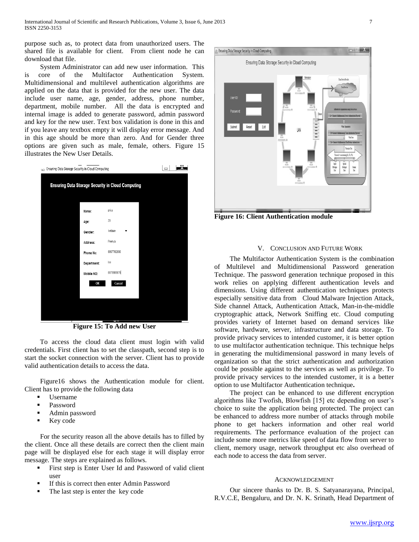purpose such as, to protect data from unauthorized users. The shared file is available for client. From client node he can download that file.

 System Administrator can add new user information. This is core of the Multifactor Authentication System. Multidimensional and multilevel authentication algorithms are applied on the data that is provided for the new user. The data include user name, age, gender, address, phone number, department, mobile number. All the data is encrypted and internal image is added to generate password, admin password and key for the new user. Text box validation is done in this and if you leave any textbox empty it will display error message. And in this age should be more than zero. And for Gender three options are given such as male, female, others. Figure 15 illustrates the New User Details.

| (2) Ensuring Data Storage Security in Cloud Computing |              | Ō |
|-------------------------------------------------------|--------------|---|
| Ensuring Data Storage Security in Cloud Computing     |              |   |
| Name:                                                 | priya        |   |
| Age:                                                  | $20\,$       |   |
| Gender:                                               | FeMale       |   |
| Address:                                              | Peenya       |   |
| Phone No:                                             | 8897782890   |   |
| Department:                                           | ise          |   |
| Mobile NO:                                            | 8879989878   |   |
|                                                       | OK<br>Cancel |   |
|                                                       |              |   |
|                                                       |              |   |
|                                                       |              |   |
| т                                                     |              |   |

**Figure 15: To Add new User**

 To access the cloud data client must login with valid credentials. First client has to set the classpath, second step is to start the socket connection with the server. Client has to provide valid authentication details to access the data.

 Figure16 shows the Authentication module for client. Client has to provide the following data

- Username
- Password
- Admin password
- Key code

 For the security reason all the above details has to filled by the client. Once all these details are correct then the client main page will be displayed else for each stage it will display error message. The steps are explained as follows.

- First step is Enter User Id and Password of valid client user
- If this is correct then enter Admin Password
- The last step is enter the key code



**Figure 16: Client Authentication module**

#### V. CONCLUSION AND FUTURE WORK

 The Multifactor Authentication System is the combination of Multilevel and Multidimensional Password generation Technique. The password generation technique proposed in this work relies on applying different authentication levels and dimensions. Using different authentication techniques protects especially sensitive data from Cloud Malware Injection Attack, Side channel Attack, Authentication Attack, Man-in-the-middle cryptographic attack, Network Sniffing etc. Cloud computing provides variety of Internet based on demand services like software, hardware, server, infrastructure and data storage. To provide privacy services to intended customer, it is better option to use multifactor authentication technique. This technique helps in generating the multidimensional password in many levels of organization so that the strict authentication and authorization could be possible against to the services as well as privilege. To provide privacy services to the intended customer, it is a better option to use Multifactor Authentication technique**.**

 The project can be enhanced to use different encryption algorithms like Twofish, Blowfish [15] etc depending on user's choice to suite the application being protected. The project can be enhanced to address more number of attacks through mobile phone to get hackers information and other real world requirements. The performance evaluation of the project can include some more metrics like speed of data flow from server to client, memory usage, network throughput etc also overhead of each node to access the data from server.

#### ACKNOWLEDGEMENT

 Our sincere thanks to Dr. B. S. Satyanarayana, Principal, R.V.C.E, Bengaluru, and Dr. N. K. Srinath, Head Department of